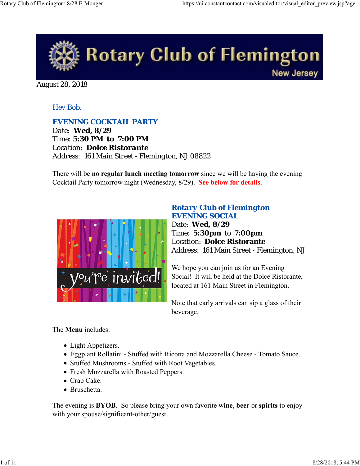

August 28, 2018

## *Hey Bob,*

### *EVENING COCKTAIL PARTY*

*Date: Wed, 8/29 Time: 5:30 PM to 7:00 PM Location: Dolce Ristorante Address: 161 Main Street - Flemington, NJ 08822*

There will be **no regular lunch meeting tomorrow** since we will be having the evening Cocktail Party tomorrow night (Wednesday, 8/29). **See below for details**.



### *Rotary Club of Flemington EVENING SOCIAL*

Date: **Wed, 8/29** Time: **5:30pm** to **7:00pm** Location: **Dolce Ristorante** Address: 161 Main Street - Flemington, NJ

We hope you can join us for an Evening Social! It will be held at the Dolce Ristorante, located at 161 Main Street in Flemington.

Note that early arrivals can sip a glass of their beverage.

### The **Menu** includes:

- Light Appetizers.
- Eggplant Rollatini Stuffed with Ricotta and Mozzarella Cheese Tomato Sauce.
- Stuffed Mushrooms Stuffed with Root Vegetables.
- Fresh Mozzarella with Roasted Peppers.
- Crab Cake.
- Bruschetta.

The evening is **BYOB**. So please bring your own favorite **wine**, **beer** or **spirits** to enjoy with your spouse/significant-other/guest.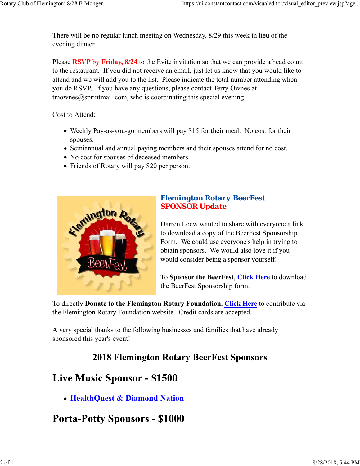There will be no regular lunch meeting on Wednesday, 8/29 this week in lieu of the evening dinner.

Please **RSVP** by **Friday, 8/24** to the Evite invitation so that we can provide a head count to the restaurant. If you did not receive an email, just let us know that you would like to attend and we will add you to the list. Please indicate the total number attending when you do RSVP. If you have any questions, please contact Terry Ownes at  $t$ mownes $@$ sprintmail.com, who is coordinating this special evening.

#### Cost to Attend:

- Weekly Pay-as-you-go members will pay \$15 for their meal. No cost for their spouses.
- Semiannual and annual paying members and their spouses attend for no cost.
- No cost for spouses of deceased members.
- Friends of Rotary will pay \$20 per person.



## *Flemington Rotary BeerFest SPONSOR Update*

Darren Loew wanted to share with everyone a link to download a copy of the BeerFest Sponsorship Form. We could use everyone's help in trying to obtain sponsors. We would also love it if you would consider being a sponsor yourself!

To **Sponsor the BeerFest**, **Click Here** to download the BeerFest Sponsorship form.

To directly **Donate to the Flemington Rotary Foundation**, **Click Here** to contribute via the Flemington Rotary Foundation website. Credit cards are accepted.

A very special thanks to the following businesses and families that have already sponsored this year's event!

## **2018 Flemington Rotary BeerFest Sponsors**

# **Live Music Sponsor - \$1500**

**HealthQuest & Diamond Nation**

# **Porta-Potty Sponsors - \$1000**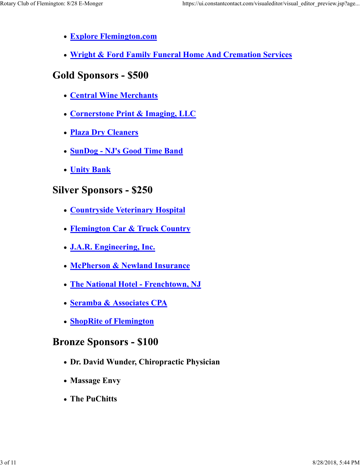- **Explore Flemington.com**
- **Wright & Ford Family Funeral Home And Cremation Services**

# **Gold Sponsors - \$500**

- **Central Wine Merchants**
- **Cornerstone Print & Imaging, LLC**
- **Plaza Dry Cleaners**
- **SunDog NJ's Good Time Band**
- **Unity Bank**

# **Silver Sponsors - \$250**

- **Countryside Veterinary Hospital**
- **Flemington Car & Truck Country**
- **J.A.R. Engineering, Inc.**
- **McPherson & Newland Insurance**
- **The National Hotel Frenchtown, NJ**
- **Seramba & Associates CPA**
- **ShopRite of Flemington**

# **Bronze Sponsors - \$100**

- **Dr. David Wunder, Chiropractic Physician**
- **Massage Envy**
- **The PuChitts**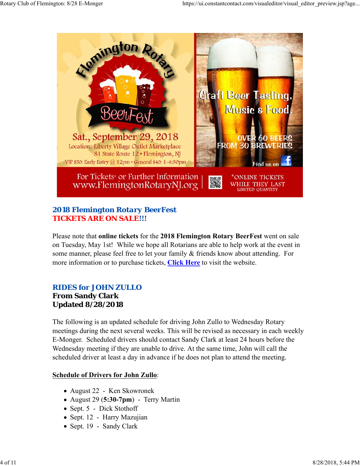

## *2018 Flemington Rotary BeerFest TICKETS ARE ON SALE!!!*

Please note that **online tickets** for the **2018 Flemington Rotary BeerFest** went on sale on Tuesday, May 1st! While we hope all Rotarians are able to help work at the event in some manner, please feel free to let your family & friends know about attending. For more information or to purchase tickets, **Click Here** to visit the website.

# *RIDES for JOHN ZULLO*

### **From Sandy Clark Updated 8/28/2018**

The following is an updated schedule for driving John Zullo to Wednesday Rotary meetings during the next several weeks. This will be revised as necessary in each weekly E-Monger. Scheduled drivers should contact Sandy Clark at least 24 hours before the Wednesday meeting if they are unable to drive. At the same time, John will call the scheduled driver at least a day in advance if he does not plan to attend the meeting.

## **Schedule of Drivers for John Zullo**:

- August 22 Ken Skowronek
- August 29 (**5:30-7pm**) Terry Martin
- Sept. 5 Dick Stothoff
- Sept. 12 Harry Mazujian
- Sept. 19 Sandy Clark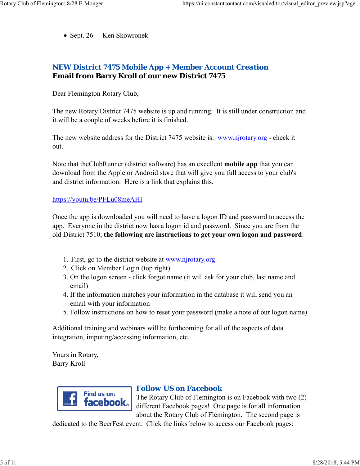Sept. 26 - Ken Skowronek

## *NEW District 7475 Mobile App + Member Account Creation* **Email from Barry Kroll of our new District 7475**

Dear Flemington Rotary Club,

The new Rotary District 7475 website is up and running. It is still under construction and it will be a couple of weeks before it is finished.

The new website address for the District 7475 website is: www.njrotary.org - check it out.

Note that theClubRunner (district software) has an excellent **mobile app** that you can download from the Apple or Android store that will give you full access to your club's and district information. Here is a link that explains this.

#### https://youtu.be/PFLu08meAHI

Once the app is downloaded you will need to have a logon ID and password to access the app. Everyone in the district now has a logon id and password. Since you are from the old District 7510, **the following are instructions to get your own logon and password**:

- 1. First, go to the district website at www.njrotary.org
- 2. Click on Member Login (top right)
- 3. On the logon screen click forgot name (it will ask for your club, last name and email)
- 4. If the information matches your information in the database it will send you an email with your information
- 5. Follow instructions on how to reset your password (make a note of our logon name)

Additional training and webinars will be forthcoming for all of the aspects of data integration, imputing/accessing information, etc.

Yours in Rotary, Barry Kroll



### *Follow US on Facebook*

The Rotary Club of Flemington is on Facebook with two (2) different Facebook pages! One page is for all information about the Rotary Club of Flemington. The second page is

dedicated to the BeerFest event. Click the links below to access our Facebook pages: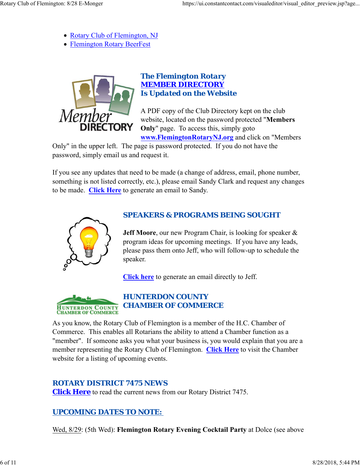- Rotary Club of Flemington, NJ
- Flemington Rotary BeerFest



## *The Flemington Rotary MEMBER DIRECTORY Is Updated on the Website*

A PDF copy of the Club Directory kept on the club website, located on the password protected "**Members Only**" page. To access this, simply goto **www.FlemingtonRotaryNJ.org** and click on "Members

Only" in the upper left. The page is password protected. If you do not have the password, simply email us and request it.

If you see any updates that need to be made (a change of address, email, phone number, something is not listed correctly, etc.), please email Sandy Clark and request any changes to be made. **Click Here** to generate an email to Sandy.



## *SPEAKERS & PROGRAMS BEING SOUGHT*

**Jeff Moore**, our new Program Chair, is looking for speaker & program ideas for upcoming meetings. If you have any leads, please pass them onto Jeff, who will follow-up to schedule the speaker.

**Click here** to generate an email directly to Jeff.



As you know, the Rotary Club of Flemington is a member of the H.C. Chamber of Commerce. This enables all Rotarians the ability to attend a Chamber function as a "member". If someone asks you what your business is, you would explain that you are a member representing the Rotary Club of Flemington. **Click Here** to visit the Chamber website for a listing of upcoming events.

## *ROTARY DISTRICT 7475 NEWS*

**Click Here** to read the current news from our Rotary District 7475.

## *UPCOMING DATES TO NOTE:*

Wed, 8/29: (5th Wed): **Flemington Rotary Evening Cocktail Party** at Dolce (see above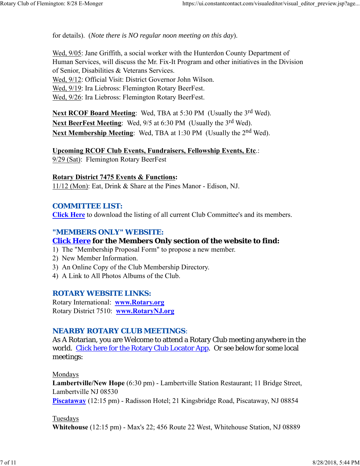for details). (*Note there is NO regular noon meeting on this day*).

Wed, 9/05: Jane Griffith, a social worker with the Hunterdon County Department of Human Services, will discuss the Mr. Fix-It Program and other initiatives in the Division of Senior, Disabilities & Veterans Services. Wed, 9/12: Official Visit: District Governor John Wilson. Wed, 9/19: Ira Liebross: Flemington Rotary BeerFest. Wed, 9/26: Ira Liebross: Flemington Rotary BeerFest.

Next RCOF Board Meeting: Wed, TBA at 5:30 PM (Usually the 3<sup>rd</sup> Wed). Next BeerFest Meeting: Wed, 9/5 at 6:30 PM (Usually the 3<sup>rd</sup> Wed). **Next Membership Meeting:** Wed, TBA at 1:30 PM (Usually the 2<sup>nd</sup> Wed).

**Upcoming RCOF Club Events, Fundraisers, Fellowship Events, Etc**.: 9/29 (Sat): Flemington Rotary BeerFest

**Rotary District 7475 Events & Functions:** 11/12 (Mon): Eat, Drink & Share at the Pines Manor - Edison, NJ.

### *COMMITTEE LIST:*

**Click Here** to download the listing of all current Club Committee's and its members.

## *"MEMBERS ONLY" WEBSITE:*

## **Click Here for the Members Only section of the website to find:**

1) The "Membership Proposal Form" to propose a new member.

- 2) New Member Information.
- 3) An Online Copy of the Club Membership Directory.
- 4) A Link to All Photos Albums of the Club.

### *ROTARY WEBSITE LINKS:*

Rotary International: **www.Rotary.org** Rotary District 7510: **www.RotaryNJ.org**

### *NEARBY ROTARY CLUB MEETINGS:*

As A Rotarian, you are Welcome to attend a Rotary Club meeting anywhere in the world. Click here for the Rotary Club Locator App. Or see below for some local meetings:

Mondays

**Lambertville/New Hope** (6:30 pm) - Lambertville Station Restaurant; 11 Bridge Street, Lambertville NJ 08530 **Piscataway** (12:15 pm) - Radisson Hotel; 21 Kingsbridge Road, Piscataway, NJ 08854

#### Tuesdays

**Whitehouse** (12:15 pm) - Max's 22; 456 Route 22 West, Whitehouse Station, NJ 08889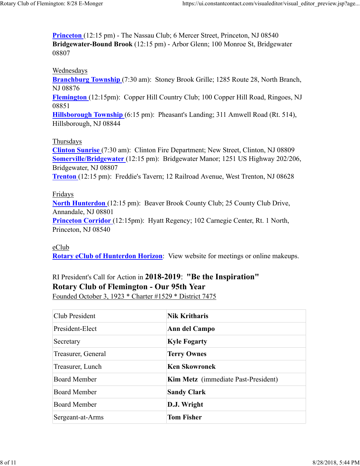**Princeton** (12:15 pm) - The Nassau Club; 6 Mercer Street, Princeton, NJ 08540 **Bridgewater-Bound Brook** (12:15 pm) - Arbor Glenn; 100 Monroe St, Bridgewater 08807

#### Wednesdays

**Branchburg Township** (7:30 am): Stoney Brook Grille; 1285 Route 28, North Branch, NJ 08876

**Flemington** (12:15pm): Copper Hill Country Club; 100 Copper Hill Road, Ringoes, NJ 08851

**Hillsborough Township** (6:15 pm): Pheasant's Landing; 311 Amwell Road (Rt. 514), Hillsborough, NJ 08844

#### Thursdays

**Clinton Sunrise** (7:30 am): Clinton Fire Department; New Street, Clinton, NJ 08809 **Somerville/Bridgewater** (12:15 pm): Bridgewater Manor; 1251 US Highway 202/206, Bridgewater, NJ 08807 **Trenton** (12:15 pm): Freddie's Tavern; 12 Railroad Avenue, West Trenton, NJ 08628

#### Fridays

**North Hunterdon** (12:15 pm): Beaver Brook County Club; 25 County Club Drive, Annandale, NJ 08801 **Princeton Corridor** (12:15pm): Hyatt Regency; 102 Carnegie Center, Rt. 1 North,

Princeton, NJ 08540

#### eClub

**Rotary eClub of Hunterdon Horizon**: View website for meetings or online makeups.

# RI President's Call for Action in **2018-2019**: **"Be the Inspiration" Rotary Club of Flemington - Our 95th Year**

Founded October 3, 1923 \* Charter #1529 \* District 7475

| Club President      | <b>Nik Kritharis</b>                       |
|---------------------|--------------------------------------------|
| President-Elect     | Ann del Campo                              |
| Secretary           | <b>Kyle Fogarty</b>                        |
| Treasurer, General  | <b>Terry Ownes</b>                         |
| Treasurer, Lunch    | <b>Ken Skowronek</b>                       |
| <b>Board Member</b> | <b>Kim Metz</b> (immediate Past-President) |
| <b>Board Member</b> | <b>Sandy Clark</b>                         |
| <b>Board Member</b> | D.J. Wright                                |
| Sergeant-at-Arms    | <b>Tom Fisher</b>                          |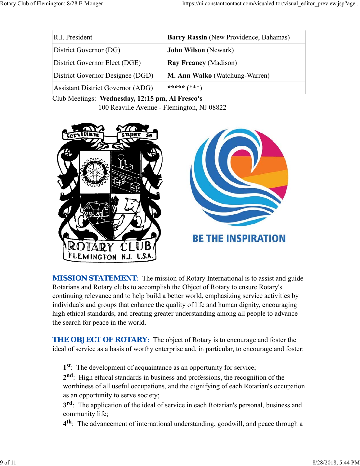| R.I. President                           | Barry Rassin (New Providence, Bahamas) |
|------------------------------------------|----------------------------------------|
| District Governor (DG)                   | <b>John Wilson</b> (Newark)            |
| District Governor Elect (DGE)            | <b>Ray Freaney (Madison)</b>           |
| District Governor Designee (DGD)         | M. Ann Walko (Watchung-Warren)         |
| <b>Assistant District Governor (ADG)</b> | ***** $(***)$                          |

Club Meetings: **Wednesday, 12:15 pm, Al Fresco's** 100 Reaville Avenue - Flemington, NJ 08822



**MISSION STATEMENT:** The mission of Rotary International is to assist and guide Rotarians and Rotary clubs to accomplish the Object of Rotary to ensure Rotary's continuing relevance and to help build a better world, emphasizing service activities by individuals and groups that enhance the quality of life and human dignity, encouraging high ethical standards, and creating greater understanding among all people to advance the search for peace in the world.

**THE OBJECT OF ROTARY:** The object of Rotary is to encourage and foster the ideal of service as a basis of worthy enterprise and, in particular, to encourage and foster:

**1st**: The development of acquaintance as an opportunity for service;

**2nd**: High ethical standards in business and professions, the recognition of the worthiness of all useful occupations, and the dignifying of each Rotarian's occupation as an opportunity to serve society;

**3rd**: The application of the ideal of service in each Rotarian's personal, business and community life;

**4th**: The advancement of international understanding, goodwill, and peace through a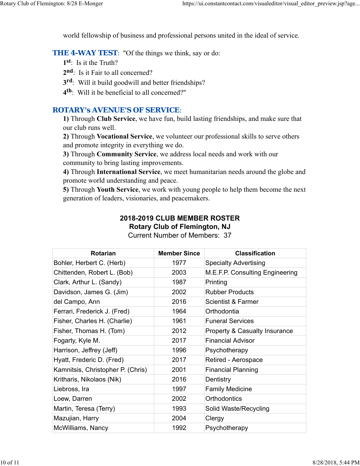world fellowship of business and professional persons united in the ideal of service.

**THE 4-WAY TEST:** "Of the things we think, say or do:

- **1st**: Is it the Truth?
- 2<sup>nd</sup>: Is it Fair to all concerned?
- **3rd**: Will it build goodwill and better friendships?
- **4th**: Will it be beneficial to all concerned?"

### *ROTARY's AVENUE'S OF SERVICE*:

**1)** Through **Club Service**, we have fun, build lasting friendships, and make sure that our club runs well.

**2)** Through **Vocational Service**, we volunteer our professional skills to serve others and promote integrity in everything we do.

**3)** Through **Community Service**, we address local needs and work with our community to bring lasting improvements.

**4)** Through **International Service**, we meet humanitarian needs around the globe and promote world understanding and peace.

**5)** Through **Youth Service**, we work with young people to help them become the next generation of leaders, visionaries, and peacemakers.

## **2018-2019 CLUB MEMBER ROSTER Rotary Club of Flemington, NJ**

| <b>Rotarian</b>                   | <b>Member Since</b> | <b>Classification</b>           |
|-----------------------------------|---------------------|---------------------------------|
| Bohler, Herbert C. (Herb)         | 1977                | <b>Specialty Advertising</b>    |
| Chittenden, Robert L. (Bob)       | 2003                | M.E.F.P. Consulting Engineering |
| Clark, Arthur L. (Sandy)          | 1987                | Printing                        |
| Davidson, James G. (Jim)          | 2002                | <b>Rubber Products</b>          |
| del Campo, Ann                    | 2016                | <b>Scientist &amp; Farmer</b>   |
| Ferrari, Frederick J. (Fred)      | 1964                | Orthodontia                     |
| Fisher, Charles H. (Charlie)      | 1961                | <b>Funeral Services</b>         |
| Fisher, Thomas H. (Tom)           | 2012                | Property & Casualty Insurance   |
| Fogarty, Kyle M.                  | 2017                | Financial Advisor               |
| Harrison, Jeffrey (Jeff)          | 1996                | Psychotherapy                   |
| Hyatt, Frederic D. (Fred)         | 2017                | Retired - Aerospace             |
| Kamnitsis, Christopher P. (Chris) | 2001                | <b>Financial Planning</b>       |
| Kritharis, Nikolaos (Nik)         | 2016                | Dentistry                       |
| Liebross, Ira                     | 1997                | <b>Family Medicine</b>          |
| Loew, Darren                      | 2002                | Orthodontics                    |
| Martin, Teresa (Terry)            | 1993                | Solid Waste/Recycling           |
| Mazujian, Harry                   | 2004                | Clergy                          |
| McWilliams, Nancy                 | 1992                | Psychotherapy                   |

Current Number of Members: 37